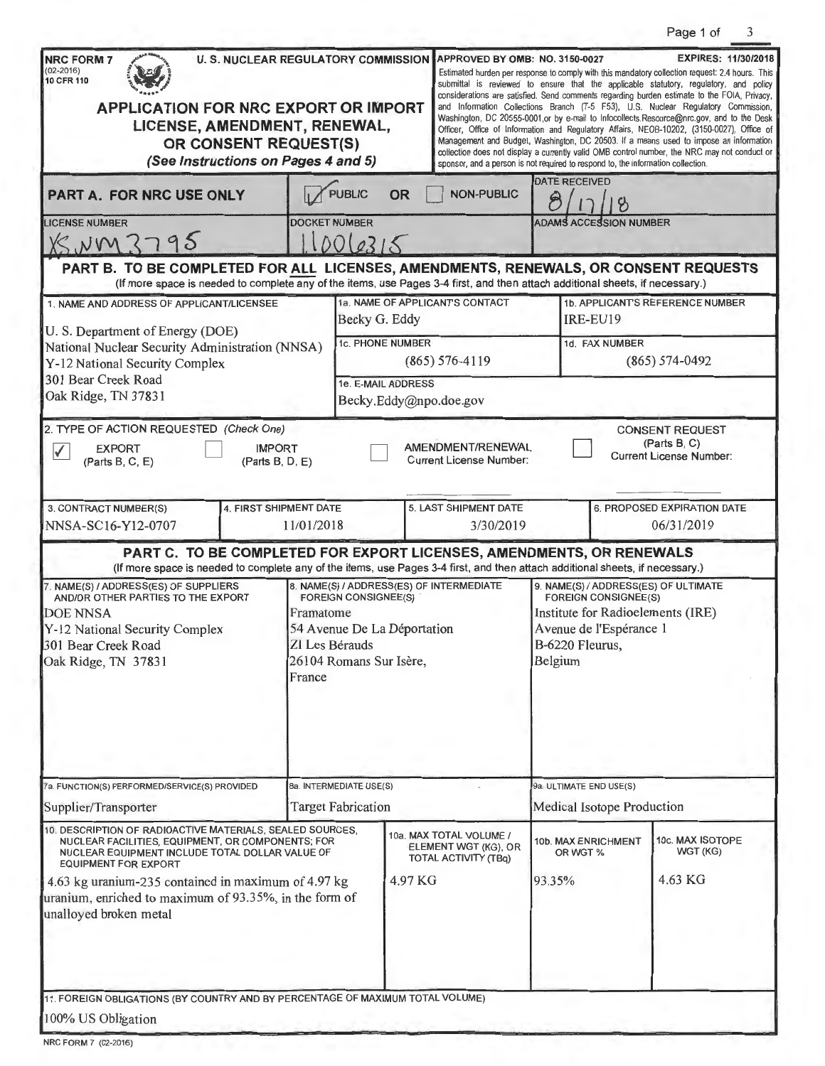Page 1 of 3

| <b>U. S. NUCLEAR REGULATORY COMMISSION</b><br><b>NRC FORM 7</b><br>$(02 - 2016)$<br>10 CFR 110<br><b>APPLICATION FOR NRC EXPORT OR IMPORT</b><br>LICENSE, AMENDMENT, RENEWAL,<br>OR CONSENT REQUEST(S)<br>(See Instructions on Pages 4 and 5)                                                                                               |                                                                                                                                                                  | APPROVED BY OMB: NO. 3150-0027<br><b>EXPIRES: 11/30/2018</b><br>Estimated burden per response to comply with this mandatory collection request: 2.4 hours. This<br>submittal is reviewed to ensure that the applicable statutory, regulatory, and policy<br>considerations are satisfied. Send comments regarding burden estimate to the FOIA, Privacy,<br>and Information Collections Branch (T-5 F53), U.S. Nuclear Regulatory Commission,<br>Washington, DC 20555-0001,or by e-mail to Infocollects.Resource@nrc.gov, and to the Desk<br>Officer, Office of Information and Regulatory Affairs, NEOB-10202, (3150-0027), Office of<br>Management and Budget, Washington, DC 20503. If a means used to impose an information<br>collection does not display a currently valid OMB control number, the NRC may not conduct or<br>sponsor, and a person is not required to respond to, the information collection. |                                                     |                               |                                                    |                                                                          |  |
|---------------------------------------------------------------------------------------------------------------------------------------------------------------------------------------------------------------------------------------------------------------------------------------------------------------------------------------------|------------------------------------------------------------------------------------------------------------------------------------------------------------------|--------------------------------------------------------------------------------------------------------------------------------------------------------------------------------------------------------------------------------------------------------------------------------------------------------------------------------------------------------------------------------------------------------------------------------------------------------------------------------------------------------------------------------------------------------------------------------------------------------------------------------------------------------------------------------------------------------------------------------------------------------------------------------------------------------------------------------------------------------------------------------------------------------------------|-----------------------------------------------------|-------------------------------|----------------------------------------------------|--------------------------------------------------------------------------|--|
| PART A. FOR NRC USE ONLY                                                                                                                                                                                                                                                                                                                    | PUBLIC<br><b>OR</b>                                                                                                                                              | <b>NON-PUBLIC</b>                                                                                                                                                                                                                                                                                                                                                                                                                                                                                                                                                                                                                                                                                                                                                                                                                                                                                                  |                                                     | <b>DATE RECEIVED</b>          |                                                    |                                                                          |  |
| <b>LICENSE NUMBER</b><br>X5.1095                                                                                                                                                                                                                                                                                                            | <b>DOCKET NUMBER</b><br>1006215                                                                                                                                  |                                                                                                                                                                                                                                                                                                                                                                                                                                                                                                                                                                                                                                                                                                                                                                                                                                                                                                                    |                                                     | <b>ADAMS ACCESSION NUMBER</b> |                                                    |                                                                          |  |
| PART B. TO BE COMPLETED FOR ALL LICENSES, AMENDMENTS, RENEWALS, OR CONSENT REQUESTS<br>(If more space is needed to complete any of the items, use Pages 3-4 first, and then attach additional sheets, if necessary.)                                                                                                                        |                                                                                                                                                                  |                                                                                                                                                                                                                                                                                                                                                                                                                                                                                                                                                                                                                                                                                                                                                                                                                                                                                                                    |                                                     |                               |                                                    |                                                                          |  |
| 1. NAME AND ADDRESS OF APPLICANT/LICENSEE<br>U. S. Department of Energy (DOE)<br>National Nuclear Security Administration (NNSA)<br>Y-12 National Security Complex                                                                                                                                                                          |                                                                                                                                                                  | 1a. NAME OF APPLICANTS CONTACT<br>Becky G. Eddy                                                                                                                                                                                                                                                                                                                                                                                                                                                                                                                                                                                                                                                                                                                                                                                                                                                                    |                                                     |                               | <b>1b. APPLICANTS REFERENCE NUMBER</b><br>IRE-EU19 |                                                                          |  |
|                                                                                                                                                                                                                                                                                                                                             |                                                                                                                                                                  | 1c. PHONE NUMBER<br>$(865) 576 - 4119$                                                                                                                                                                                                                                                                                                                                                                                                                                                                                                                                                                                                                                                                                                                                                                                                                                                                             |                                                     |                               | 1d. FAX NUMBER<br>$(865) 574 - 0492$               |                                                                          |  |
| 301 Bear Creek Road<br>Oak Ridge, TN 37831                                                                                                                                                                                                                                                                                                  | 1e. E-MAIL ADDRESS<br>Becky.Eddy@npo.doe.gov                                                                                                                     |                                                                                                                                                                                                                                                                                                                                                                                                                                                                                                                                                                                                                                                                                                                                                                                                                                                                                                                    |                                                     |                               |                                                    |                                                                          |  |
| 2. TYPE OF ACTION REQUESTED (Check One)<br><b>IMPORT</b><br><b>EXPORT</b><br>$\checkmark$<br>(Parts B, D, E)<br>(Parts B, C, E)                                                                                                                                                                                                             |                                                                                                                                                                  |                                                                                                                                                                                                                                                                                                                                                                                                                                                                                                                                                                                                                                                                                                                                                                                                                                                                                                                    | AMENDMENT/RENEWAL<br><b>Current License Number:</b> |                               |                                                    | <b>CONSENT REQUEST</b><br>(Parts B, C)<br><b>Current License Number:</b> |  |
| 3. CONTRACT NUMBER(S)<br>4. FIRST SHIPMENT DATE<br>11/01/2018<br>NNSA-SC16-Y12-0707                                                                                                                                                                                                                                                         |                                                                                                                                                                  | 5. LAST SHIPMENT DATE<br>3/30/2019                                                                                                                                                                                                                                                                                                                                                                                                                                                                                                                                                                                                                                                                                                                                                                                                                                                                                 |                                                     |                               | 6, PROPOSED EXPIRATION DATE<br>06/31/2019          |                                                                          |  |
| PART C. TO BE COMPLETED FOR EXPORT LICENSES, AMENDMENTS, OR RENEWALS<br>(If more space is needed to complete any of the items, use Pages 3-4 first, and then attach additional sheets, if necessary.)                                                                                                                                       |                                                                                                                                                                  |                                                                                                                                                                                                                                                                                                                                                                                                                                                                                                                                                                                                                                                                                                                                                                                                                                                                                                                    |                                                     |                               |                                                    |                                                                          |  |
| 7. NAME(S) / ADDRESS(ES) OF SUPPLIERS<br>AND/OR OTHER PARTIES TO THE EXPORT<br><b>DOE NNSA</b><br>Y-12 National Security Complex<br>301 Bear Creek Road<br>Oak Ridge, TN 37831                                                                                                                                                              | 8. NAME(S) / ADDRESS(ES) OF INTERMEDIATE<br><b>FOREIGN CONSIGNEE(S)</b><br>Framatome<br>54 Avenue De La Déportation<br>ZI Les Bérauds<br>26104 Romans Sur Isère, | 9. NAME(S) / ADDRESS(ES) OF ULTIMATE<br><b>FOREIGN CONSIGNEE(S)</b><br>Institute for Radioelements (IRE)<br>Avenue de l'Espérance 1<br>B-6220 Fleurus,<br>Belgium                                                                                                                                                                                                                                                                                                                                                                                                                                                                                                                                                                                                                                                                                                                                                  |                                                     |                               |                                                    |                                                                          |  |
| 7a. FUNCTION(S) PERFORMED/SERVICE(S) PROVIDED                                                                                                                                                                                                                                                                                               |                                                                                                                                                                  | 8a. INTERMEDIATE USE(S)                                                                                                                                                                                                                                                                                                                                                                                                                                                                                                                                                                                                                                                                                                                                                                                                                                                                                            |                                                     |                               | 9a. ULTIMATE END USE(S)                            |                                                                          |  |
| Supplier/Transporter                                                                                                                                                                                                                                                                                                                        | <b>Target Fabrication</b>                                                                                                                                        |                                                                                                                                                                                                                                                                                                                                                                                                                                                                                                                                                                                                                                                                                                                                                                                                                                                                                                                    |                                                     | Medical Isotope Production    |                                                    |                                                                          |  |
| 10. DESCRIPTION OF RADIOACTIVE MATERIALS, SEALED SOURCES,<br>NUCLEAR FACILITIES, EQUIPMENT, OR COMPONENTS; FOR<br>NUCLEAR EQUIPMENT INCLUDE TOTAL DOLLAR VALUE OF<br><b>EQUIPMENT FOR EXPORT</b><br>4.63 kg uranium-235 contained in maximum of 4.97 kg<br>uranium, enriched to maximum of 93.35%, in the form of<br>unalloyed broken metal |                                                                                                                                                                  | 10a. MAX TOTAL VOLUME /<br>ELEMENT WGT (KG), OR<br><b>TOTAL ACTIVITY (TBq)</b><br>4.97 KG                                                                                                                                                                                                                                                                                                                                                                                                                                                                                                                                                                                                                                                                                                                                                                                                                          | 10b. MAX ENRICHMENT<br>OR WGT %<br>93.35%           |                               | 10c. MAX ISOTOPE<br>WGT (KG)<br>4.63 KG            |                                                                          |  |
| 11. FOREIGN OBLIGATIONS (BY COUNTRY AND BY PERCENTAGE OF MAXIMUM TOTAL VOLUME)<br>100% US Obligation                                                                                                                                                                                                                                        |                                                                                                                                                                  |                                                                                                                                                                                                                                                                                                                                                                                                                                                                                                                                                                                                                                                                                                                                                                                                                                                                                                                    |                                                     |                               |                                                    |                                                                          |  |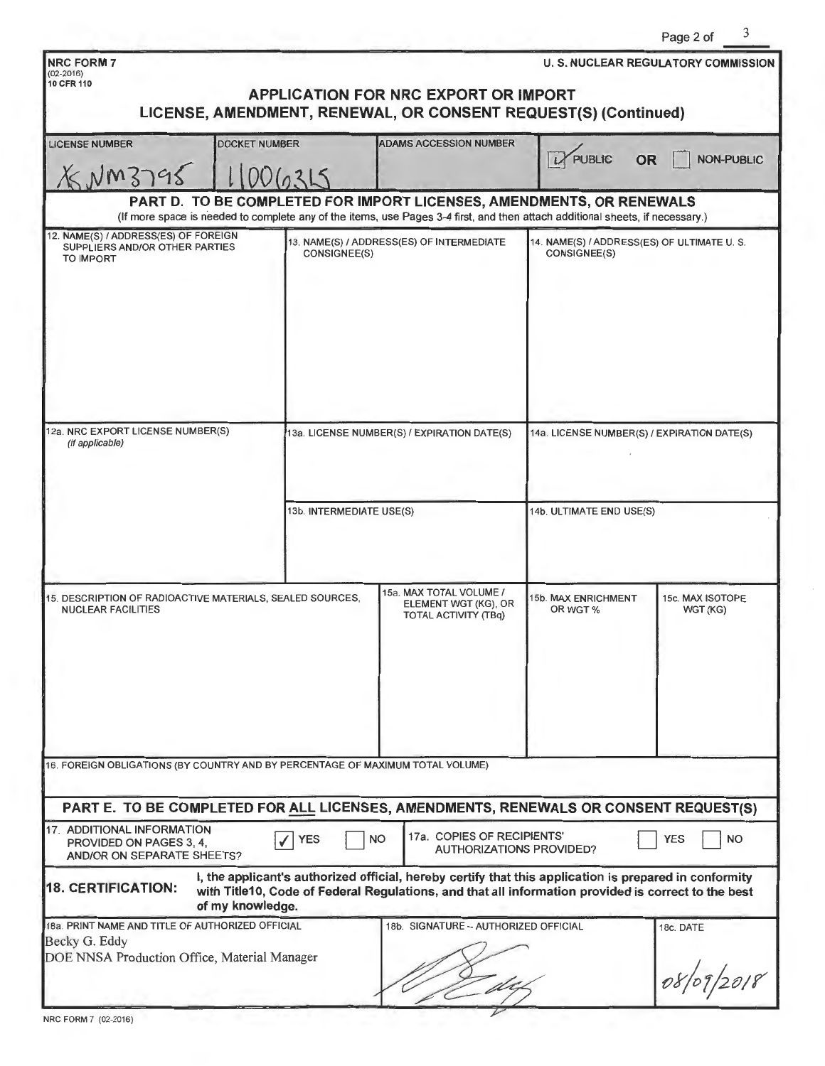|                                                                                                                                                                       |                                             |                                                                                                                                                                                                               |                                                            | Page 2 of                                  |  |  |
|-----------------------------------------------------------------------------------------------------------------------------------------------------------------------|---------------------------------------------|---------------------------------------------------------------------------------------------------------------------------------------------------------------------------------------------------------------|------------------------------------------------------------|--------------------------------------------|--|--|
| <b>NRC FORM 7</b><br>$(02 - 2016)$                                                                                                                                    |                                             |                                                                                                                                                                                                               |                                                            | <b>U. S. NUCLEAR REGULATORY COMMISSION</b> |  |  |
| 10 CFR 110                                                                                                                                                            |                                             | APPLICATION FOR NRC EXPORT OR IMPORT                                                                                                                                                                          |                                                            |                                            |  |  |
|                                                                                                                                                                       |                                             | LICENSE, AMENDMENT, RENEWAL, OR CONSENT REQUEST(S) (Continued)                                                                                                                                                |                                                            |                                            |  |  |
| <b>DOCKET NUMBER</b><br><b>LICENSE NUMBER</b>                                                                                                                         |                                             | <b>ADAMS ACCESSION NUMBER</b>                                                                                                                                                                                 | <b>PUBLIC</b><br><b>OR</b>                                 | <b>NON-PUBLIC</b>                          |  |  |
| NMS795                                                                                                                                                                |                                             |                                                                                                                                                                                                               |                                                            |                                            |  |  |
|                                                                                                                                                                       |                                             | PART D. TO BE COMPLETED FOR IMPORT LICENSES, AMENDMENTS, OR RENEWALS                                                                                                                                          |                                                            |                                            |  |  |
| (If more space is needed to complete any of the items, use Pages 3-4 first, and then attach additional sheets, if necessary.)<br>12. NAME(S) / ADDRESS(ES) OF FOREIGN |                                             |                                                                                                                                                                                                               |                                                            |                                            |  |  |
| SUPPLIERS AND/OR OTHER PARTIES<br><b>TO IMPORT</b>                                                                                                                    | <b>CONSIGNEE(S)</b>                         | 13. NAME(S) / ADDRESS(ES) OF INTERMEDIATE                                                                                                                                                                     | 14. NAME(S) / ADDRESS(ES) OF ULTIMATE U.S.<br>CONSIGNEE(S) |                                            |  |  |
|                                                                                                                                                                       |                                             |                                                                                                                                                                                                               |                                                            |                                            |  |  |
|                                                                                                                                                                       |                                             |                                                                                                                                                                                                               |                                                            |                                            |  |  |
|                                                                                                                                                                       |                                             |                                                                                                                                                                                                               |                                                            |                                            |  |  |
|                                                                                                                                                                       |                                             |                                                                                                                                                                                                               |                                                            |                                            |  |  |
|                                                                                                                                                                       |                                             |                                                                                                                                                                                                               |                                                            |                                            |  |  |
|                                                                                                                                                                       |                                             |                                                                                                                                                                                                               |                                                            |                                            |  |  |
| 12a. NRC EXPORT LICENSE NUMBER(S)<br>(if applicable)                                                                                                                  | 13a. LICENSE NUMBER(S) / EXPIRATION DATE(S) |                                                                                                                                                                                                               | 14a. LICENSE NUMBER(S) / EXPIRATION DATE(S)                |                                            |  |  |
|                                                                                                                                                                       |                                             |                                                                                                                                                                                                               |                                                            |                                            |  |  |
|                                                                                                                                                                       |                                             |                                                                                                                                                                                                               |                                                            |                                            |  |  |
|                                                                                                                                                                       | 13b. INTERMEDIATE USE(S)                    |                                                                                                                                                                                                               | 14b. ULTIMATE END USE(S)                                   |                                            |  |  |
|                                                                                                                                                                       |                                             |                                                                                                                                                                                                               |                                                            |                                            |  |  |
|                                                                                                                                                                       |                                             |                                                                                                                                                                                                               |                                                            |                                            |  |  |
| 15. DESCRIPTION OF RADIOACTIVE MATERIALS, SEALED SOURCES,<br><b>NUCLEAR FACILITIES</b>                                                                                |                                             | 15a. MAX TOTAL VOLUME /<br>ELEMENT WGT (KG), OR                                                                                                                                                               | 15b. MAX ENRICHMENT<br>OR WGT %                            | 15c. MAX ISOTOPE<br>WGT (KG)               |  |  |
|                                                                                                                                                                       |                                             | <b>TOTAL ACTIVITY (TBq)</b>                                                                                                                                                                                   |                                                            |                                            |  |  |
|                                                                                                                                                                       |                                             |                                                                                                                                                                                                               |                                                            |                                            |  |  |
|                                                                                                                                                                       |                                             |                                                                                                                                                                                                               |                                                            |                                            |  |  |
|                                                                                                                                                                       |                                             |                                                                                                                                                                                                               |                                                            |                                            |  |  |
|                                                                                                                                                                       |                                             |                                                                                                                                                                                                               |                                                            |                                            |  |  |
| 16. FOREIGN OBLIGATIONS (BY COUNTRY AND BY PERCENTAGE OF MAXIMUM TOTAL VOLUME)                                                                                        |                                             |                                                                                                                                                                                                               |                                                            |                                            |  |  |
|                                                                                                                                                                       |                                             |                                                                                                                                                                                                               |                                                            |                                            |  |  |
| PART E. TO BE COMPLETED FOR ALL LICENSES, AMENDMENTS, RENEWALS OR CONSENT REQUEST(S)                                                                                  |                                             |                                                                                                                                                                                                               |                                                            |                                            |  |  |
| 17. ADDITIONAL INFORMATION<br>PROVIDED ON PAGES 3, 4,<br>AND/OR ON SEPARATE SHEETS?                                                                                   | <b>YES</b>                                  | 17a. COPIES OF RECIPIENTS'<br><b>NO</b><br><b>AUTHORIZATIONS PROVIDED?</b>                                                                                                                                    |                                                            | <b>YES</b><br><b>NO</b>                    |  |  |
| <b>18. CERTIFICATION:</b><br>of my knowledge.                                                                                                                         |                                             | I, the applicant's authorized official, hereby certify that this application is prepared in conformity<br>with Title10, Code of Federal Regulations, and that all information provided is correct to the best |                                                            |                                            |  |  |
| 18a. PRINT NAME AND TITLE OF AUTHORIZED OFFICIAL                                                                                                                      |                                             | 18b. SIGNATURE -- AUTHORIZED OFFICIAL                                                                                                                                                                         |                                                            | 18c. DATE                                  |  |  |
| Becky G. Eddy<br>DOE NNSA Production Office, Material Manager                                                                                                         |                                             |                                                                                                                                                                                                               |                                                            |                                            |  |  |
|                                                                                                                                                                       |                                             |                                                                                                                                                                                                               |                                                            | 08/09/2018                                 |  |  |
|                                                                                                                                                                       |                                             |                                                                                                                                                                                                               |                                                            |                                            |  |  |